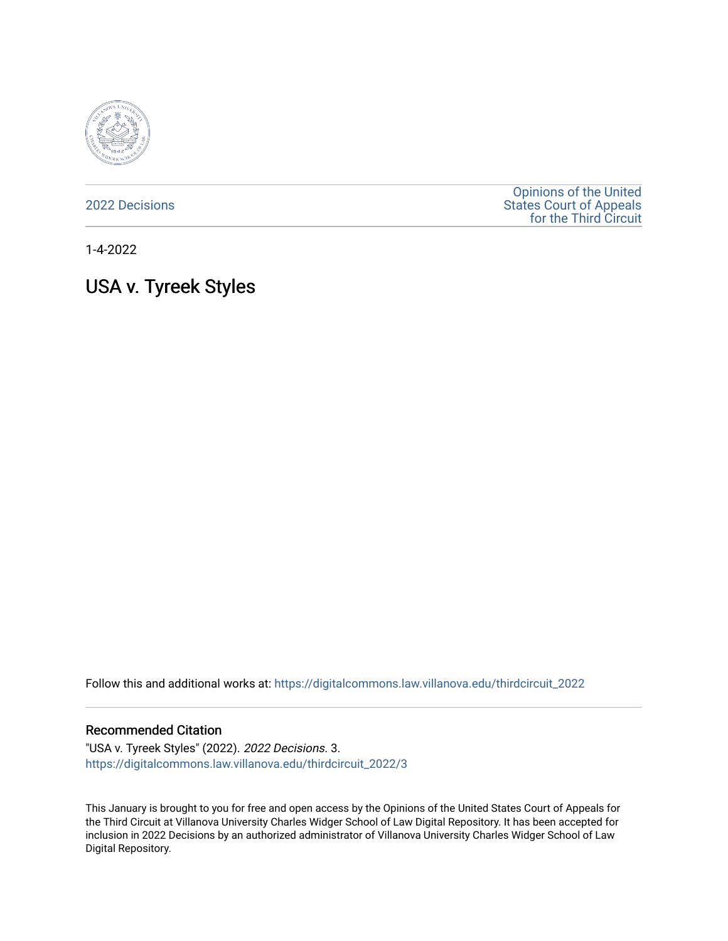

[2022 Decisions](https://digitalcommons.law.villanova.edu/thirdcircuit_2022)

[Opinions of the United](https://digitalcommons.law.villanova.edu/thirdcircuit)  [States Court of Appeals](https://digitalcommons.law.villanova.edu/thirdcircuit)  [for the Third Circuit](https://digitalcommons.law.villanova.edu/thirdcircuit) 

1-4-2022

# USA v. Tyreek Styles

Follow this and additional works at: [https://digitalcommons.law.villanova.edu/thirdcircuit\\_2022](https://digitalcommons.law.villanova.edu/thirdcircuit_2022?utm_source=digitalcommons.law.villanova.edu%2Fthirdcircuit_2022%2F3&utm_medium=PDF&utm_campaign=PDFCoverPages) 

#### Recommended Citation

"USA v. Tyreek Styles" (2022). 2022 Decisions. 3. [https://digitalcommons.law.villanova.edu/thirdcircuit\\_2022/3](https://digitalcommons.law.villanova.edu/thirdcircuit_2022/3?utm_source=digitalcommons.law.villanova.edu%2Fthirdcircuit_2022%2F3&utm_medium=PDF&utm_campaign=PDFCoverPages) 

This January is brought to you for free and open access by the Opinions of the United States Court of Appeals for the Third Circuit at Villanova University Charles Widger School of Law Digital Repository. It has been accepted for inclusion in 2022 Decisions by an authorized administrator of Villanova University Charles Widger School of Law Digital Repository.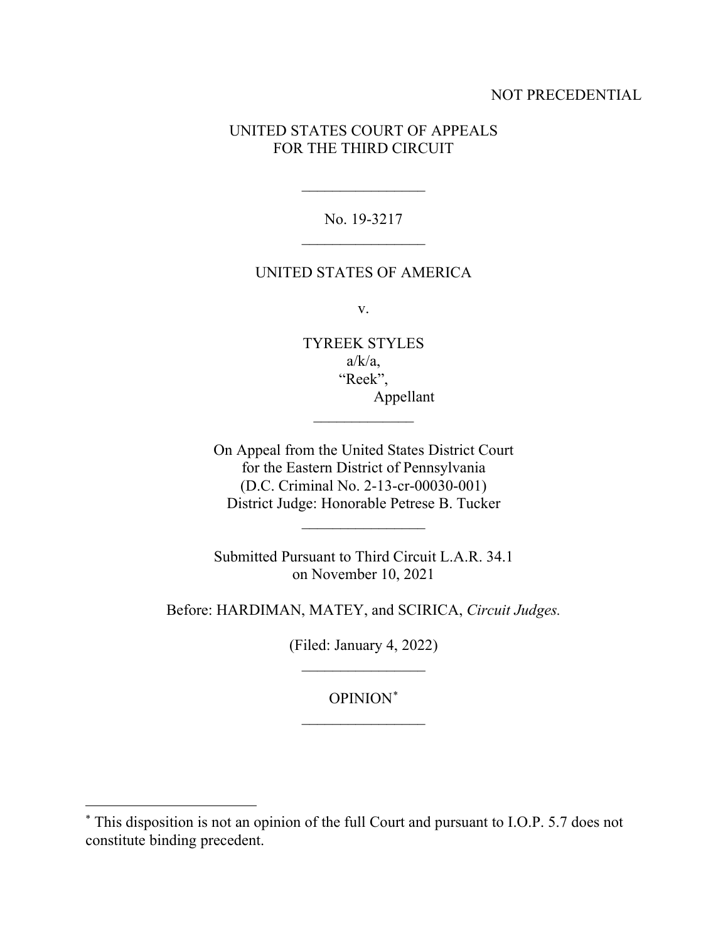## NOT PRECEDENTIAL

## UNITED STATES COURT OF APPEALS FOR THE THIRD CIRCUIT

No. 19-3217  $\overline{\phantom{a}}$  , where  $\overline{\phantom{a}}$ 

 $\frac{1}{2}$ 

#### UNITED STATES OF AMERICA

v.

TYREEK STYLES  $a/k/a$ , "Reek", Appellant

 $\frac{1}{2}$ 

On Appeal from the United States District Court for the Eastern District of Pennsylvania (D.C. Criminal No. 2-13-cr-00030-001) District Judge: Honorable Petrese B. Tucker

Submitted Pursuant to Third Circuit L.A.R. 34.1 on November 10, 2021

 $\frac{1}{2}$ 

Before: HARDIMAN, MATEY, and SCIRICA, *Circuit Judges.*

(Filed: January 4, 2022)  $\frac{1}{2}$ 

OPINION\*  $\frac{1}{2}$ 

<sup>\*</sup> This disposition is not an opinion of the full Court and pursuant to I.O.P. 5.7 does not constitute binding precedent.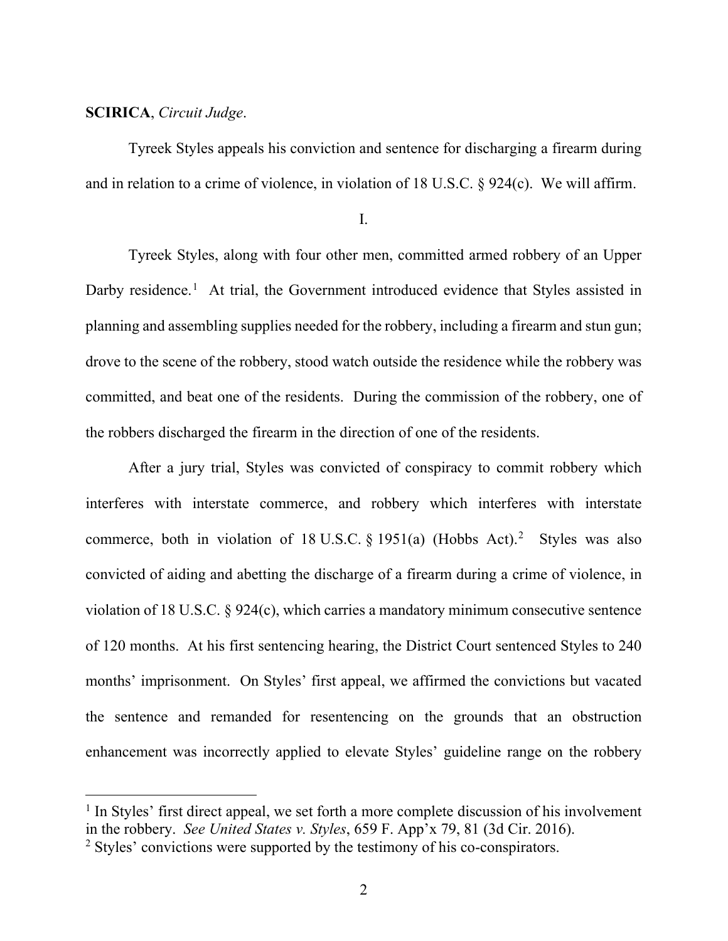## **SCIRICA**, *Circuit Judge*.

Tyreek Styles appeals his conviction and sentence for discharging a firearm during and in relation to a crime of violence, in violation of 18 U.S.C. § 924(c). We will affirm.

I.

Tyreek Styles, along with four other men, committed armed robbery of an Upper Darby residence.<sup>1</sup> At trial, the Government introduced evidence that Styles assisted in planning and assembling supplies needed for the robbery, including a firearm and stun gun; drove to the scene of the robbery, stood watch outside the residence while the robbery was committed, and beat one of the residents. During the commission of the robbery, one of the robbers discharged the firearm in the direction of one of the residents.

After a jury trial, Styles was convicted of conspiracy to commit robbery which interferes with interstate commerce, and robbery which interferes with interstate commerce, both in violation of 18 U.S.C.  $\S 1951(a)$  (Hobbs Act).<sup>2</sup> Styles was also convicted of aiding and abetting the discharge of a firearm during a crime of violence, in violation of 18 U.S.C. § 924(c), which carries a mandatory minimum consecutive sentence of 120 months. At his first sentencing hearing, the District Court sentenced Styles to 240 months' imprisonment. On Styles' first appeal, we affirmed the convictions but vacated the sentence and remanded for resentencing on the grounds that an obstruction enhancement was incorrectly applied to elevate Styles' guideline range on the robbery

 $<sup>1</sup>$  In Styles' first direct appeal, we set forth a more complete discussion of his involvement</sup> in the robbery. *See United States v. Styles*, 659 F. App'x 79, 81 (3d Cir. 2016).

<sup>&</sup>lt;sup>2</sup> Styles' convictions were supported by the testimony of his co-conspirators.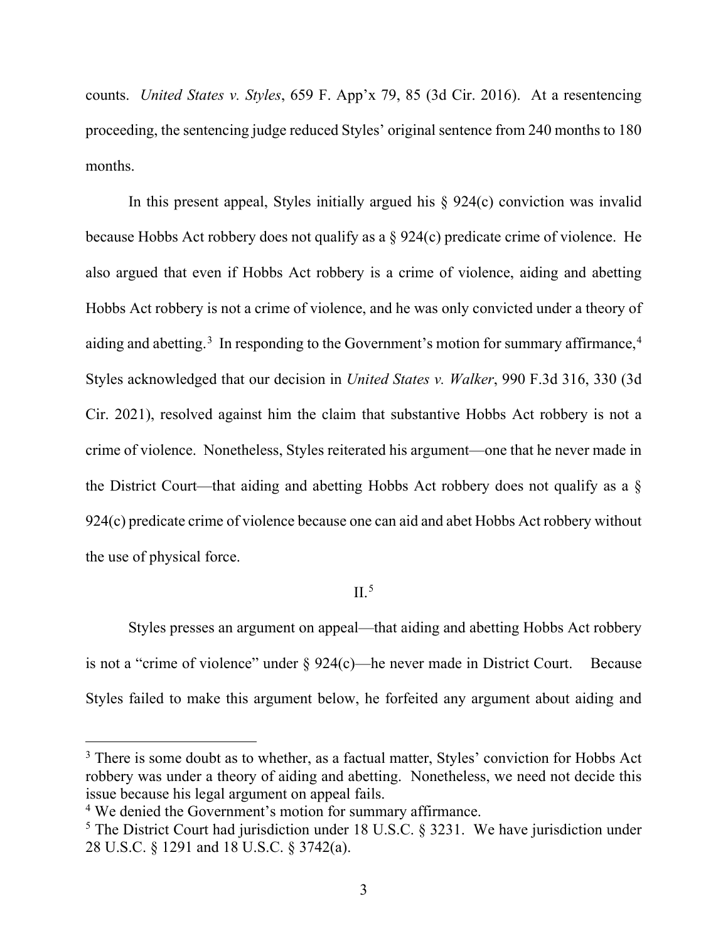counts. *United States v. Styles*, 659 F. App'x 79, 85 (3d Cir. 2016). At a resentencing proceeding, the sentencing judge reduced Styles' original sentence from 240 months to 180 months.

In this present appeal, Styles initially argued his  $\S$  924(c) conviction was invalid because Hobbs Act robbery does not qualify as a § 924(c) predicate crime of violence. He also argued that even if Hobbs Act robbery is a crime of violence, aiding and abetting Hobbs Act robbery is not a crime of violence, and he was only convicted under a theory of aiding and abetting.<sup>3</sup> In responding to the Government's motion for summary affirmance,<sup>4</sup> Styles acknowledged that our decision in *United States v. Walker*, 990 F.3d 316, 330 (3d Cir. 2021), resolved against him the claim that substantive Hobbs Act robbery is not a crime of violence. Nonetheless, Styles reiterated his argument—one that he never made in the District Court—that aiding and abetting Hobbs Act robbery does not qualify as a § 924(c) predicate crime of violence because one can aid and abet Hobbs Act robbery without the use of physical force.

### $II<sup>5</sup>$

Styles presses an argument on appeal—that aiding and abetting Hobbs Act robbery is not a "crime of violence" under § 924(c)—he never made in District Court. Because Styles failed to make this argument below, he forfeited any argument about aiding and

<sup>&</sup>lt;sup>3</sup> There is some doubt as to whether, as a factual matter, Styles' conviction for Hobbs Act robbery was under a theory of aiding and abetting. Nonetheless, we need not decide this issue because his legal argument on appeal fails.

<sup>4</sup> We denied the Government's motion for summary affirmance.

 $<sup>5</sup>$  The District Court had jurisdiction under 18 U.S.C. § 3231. We have jurisdiction under</sup> 28 U.S.C. § 1291 and 18 U.S.C. § 3742(a).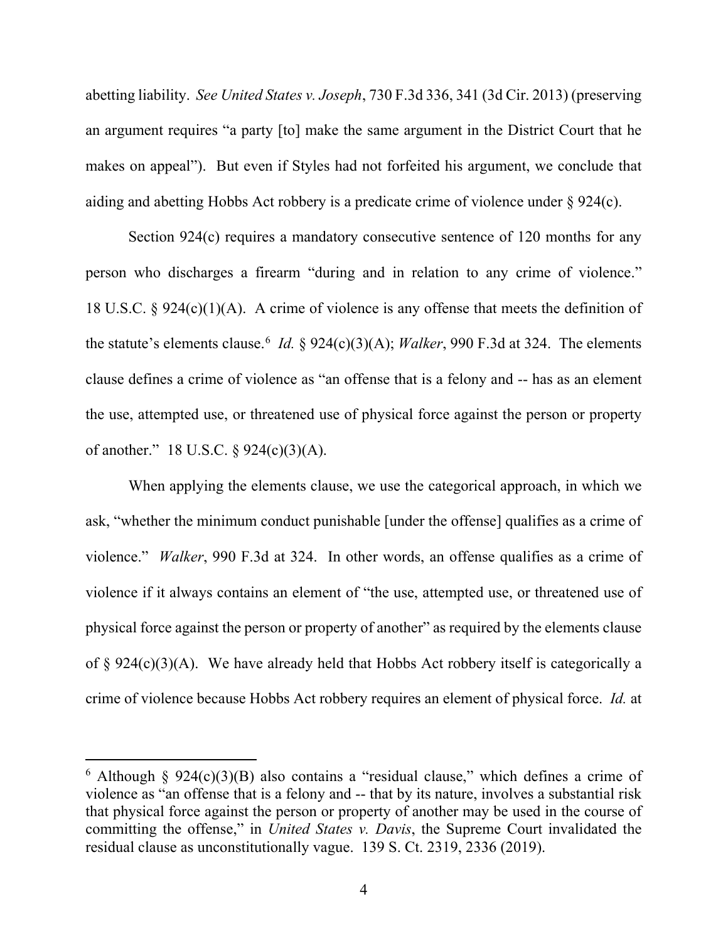abetting liability. *See United States v. Joseph*, 730 F.3d 336, 341 (3d Cir. 2013) (preserving an argument requires "a party [to] make the same argument in the District Court that he makes on appeal"). But even if Styles had not forfeited his argument, we conclude that aiding and abetting Hobbs Act robbery is a predicate crime of violence under § 924(c).

Section 924(c) requires a mandatory consecutive sentence of 120 months for any person who discharges a firearm "during and in relation to any crime of violence." 18 U.S.C. § 924(c)(1)(A). A crime of violence is any offense that meets the definition of the statute's elements clause. <sup>6</sup> *Id.* § 924(c)(3)(A); *Walker*, 990 F.3d at 324. The elements clause defines a crime of violence as "an offense that is a felony and -- has as an element the use, attempted use, or threatened use of physical force against the person or property of another." 18 U.S.C. § 924(c)(3)(A).

When applying the elements clause, we use the categorical approach, in which we ask, "whether the minimum conduct punishable [under the offense] qualifies as a crime of violence." *Walker*, 990 F.3d at 324. In other words, an offense qualifies as a crime of violence if it always contains an element of "the use, attempted use, or threatened use of physical force against the person or property of another" as required by the elements clause of  $\S 924(c)(3)(A)$ . We have already held that Hobbs Act robbery itself is categorically a crime of violence because Hobbs Act robbery requires an element of physical force. *Id.* at

 $6$  Although § 924(c)(3)(B) also contains a "residual clause," which defines a crime of violence as "an offense that is a felony and -- that by its nature, involves a substantial risk that physical force against the person or property of another may be used in the course of committing the offense," in *United States v. Davis*, the Supreme Court invalidated the residual clause as unconstitutionally vague. 139 S. Ct. 2319, 2336 (2019).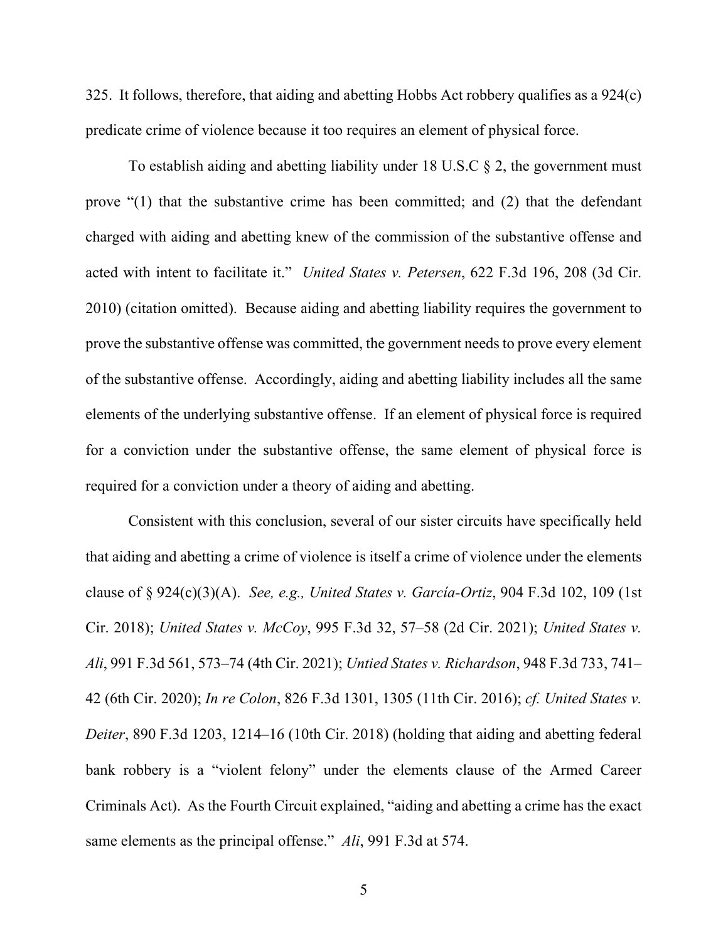325. It follows, therefore, that aiding and abetting Hobbs Act robbery qualifies as a 924(c) predicate crime of violence because it too requires an element of physical force.

To establish aiding and abetting liability under 18 U.S.C § 2, the government must prove "(1) that the substantive crime has been committed; and (2) that the defendant charged with aiding and abetting knew of the commission of the substantive offense and acted with intent to facilitate it." *United States v. Petersen*, 622 F.3d 196, 208 (3d Cir. 2010) (citation omitted). Because aiding and abetting liability requires the government to prove the substantive offense was committed, the government needs to prove every element of the substantive offense. Accordingly, aiding and abetting liability includes all the same elements of the underlying substantive offense. If an element of physical force is required for a conviction under the substantive offense, the same element of physical force is required for a conviction under a theory of aiding and abetting.

Consistent with this conclusion, several of our sister circuits have specifically held that aiding and abetting a crime of violence is itself a crime of violence under the elements clause of § 924(c)(3)(A). *See, e.g., United States v. García-Ortiz*, 904 F.3d 102, 109 (1st Cir. 2018); *United States v. McCoy*, 995 F.3d 32, 57–58 (2d Cir. 2021); *United States v. Ali*, 991 F.3d 561, 573–74 (4th Cir. 2021); *Untied States v. Richardson*, 948 F.3d 733, 741– 42 (6th Cir. 2020); *In re Colon*, 826 F.3d 1301, 1305 (11th Cir. 2016); *cf. United States v. Deiter*, 890 F.3d 1203, 1214–16 (10th Cir. 2018) (holding that aiding and abetting federal bank robbery is a "violent felony" under the elements clause of the Armed Career Criminals Act). As the Fourth Circuit explained, "aiding and abetting a crime has the exact same elements as the principal offense." *Ali*, 991 F.3d at 574.